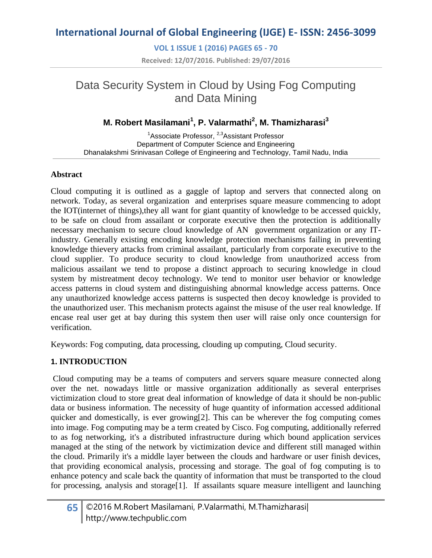**VOL 1 ISSUE 1 (2016) PAGES 65 - 70 Received: 12/07/2016. Published: 29/07/2016**

# Data Security System in Cloud by Using Fog Computing and Data Mining

### **M. Robert Masilamani<sup>1</sup> , P. Valarmathi<sup>2</sup> , M. Thamizharasi<sup>3</sup>**

<sup>1</sup>Associate Professor, <sup>2,3</sup>Assistant Professor Department of Computer Science and Engineering Dhanalakshmi Srinivasan College of Engineering and Technology, Tamil Nadu, India

### **Abstract**

Cloud computing it is outlined as a gaggle of laptop and servers that connected along on network. Today, as several organization and enterprises square measure commencing to adopt the IOT(internet of things),they all want for giant quantity of knowledge to be accessed quickly, to be safe on cloud from assailant or corporate executive then the protection is additionally necessary mechanism to secure cloud knowledge of AN government organization or any ITindustry. Generally existing encoding knowledge protection mechanisms failing in preventing knowledge thievery attacks from criminal assailant, particularly from corporate executive to the cloud supplier. To produce security to cloud knowledge from unauthorized access from malicious assailant we tend to propose a distinct approach to securing knowledge in cloud system by mistreatment decoy technology. We tend to monitor user behavior or knowledge access patterns in cloud system and distinguishing abnormal knowledge access patterns. Once any unauthorized knowledge access patterns is suspected then decoy knowledge is provided to the unauthorized user. This mechanism protects against the misuse of the user real knowledge. If encase real user get at bay during this system then user will raise only once countersign for verification.

Keywords: Fog computing, data processing, clouding up computing, Cloud security.

### **1. INTRODUCTION**

Cloud computing may be a teams of computers and servers square measure connected along over the net. nowadays little or massive organization additionally as several enterprises victimization cloud to store great deal information of knowledge of data it should be non-public data or business information. The necessity of huge quantity of information accessed additional quicker and domestically, is ever growing[2]. This can be wherever the fog computing comes into image. Fog computing may be a term created by Cisco. Fog computing, additionally referred to as fog networking, it's a distributed infrastructure during which bound application services managed at the sting of the network by victimization device and different still managed within the cloud. Primarily it's a middle layer between the clouds and hardware or user finish devices, that providing economical analysis, processing and storage. The goal of fog computing is to enhance potency and scale back the quantity of information that must be transported to the cloud for processing, analysis and storage[1]. If assailants square measure intelligent and launching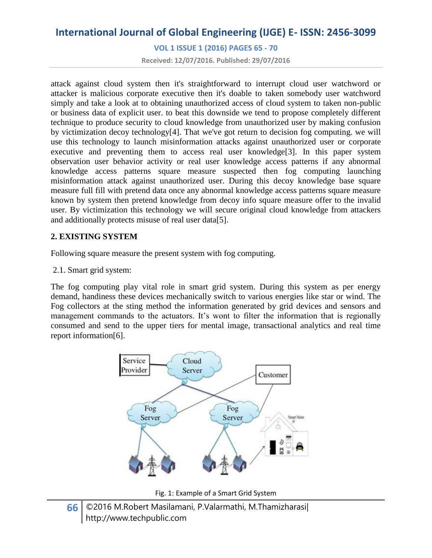**VOL 1 ISSUE 1 (2016) PAGES 65 - 70**

**Received: 12/07/2016. Published: 29/07/2016**

attack against cloud system then it's straightforward to interrupt cloud user watchword or attacker is malicious corporate executive then it's doable to taken somebody user watchword simply and take a look at to obtaining unauthorized access of cloud system to taken non-public or business data of explicit user. to beat this downside we tend to propose completely different technique to produce security to cloud knowledge from unauthorized user by making confusion by victimization decoy technology[4]. That we've got return to decision fog computing. we will use this technology to launch misinformation attacks against unauthorized user or corporate executive and preventing them to access real user knowledge[3]. In this paper system observation user behavior activity or real user knowledge access patterns if any abnormal knowledge access patterns square measure suspected then fog computing launching misinformation attack against unauthorized user. During this decoy knowledge base square measure full fill with pretend data once any abnormal knowledge access patterns square measure known by system then pretend knowledge from decoy info square measure offer to the invalid user. By victimization this technology we will secure original cloud knowledge from attackers and additionally protects misuse of real user data[5].

#### **2. EXISTING SYSTEM**

Following square measure the present system with fog computing.

2.1. Smart grid system:

The fog computing play vital role in smart grid system. During this system as per energy demand, handiness these devices mechanically switch to various energies like star or wind. The Fog collectors at the sting method the information generated by grid devices and sensors and management commands to the actuators. It's wont to filter the information that is regionally consumed and send to the upper tiers for mental image, transactional analytics and real time report information[6].



Fig. 1: Example of a Smart Grid System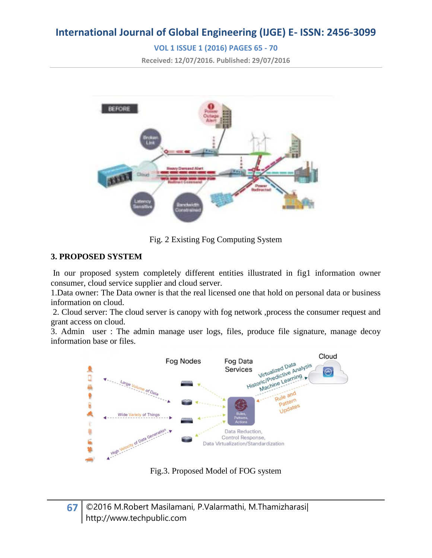### **VOL 1 ISSUE 1 (2016) PAGES 65 - 70**

**Received: 12/07/2016. Published: 29/07/2016**



Fig. 2 Existing Fog Computing System

### **3. PROPOSED SYSTEM**

In our proposed system completely different entities illustrated in fig1 information owner consumer, cloud service supplier and cloud server.

1.Data owner: The Data owner is that the real licensed one that hold on personal data or business information on cloud.

2. Cloud server: The cloud server is canopy with fog network ,process the consumer request and grant access on cloud.

3. Admin user : The admin manage user logs, files, produce file signature, manage decoy information base or files.



Fig.3. Proposed Model of FOG system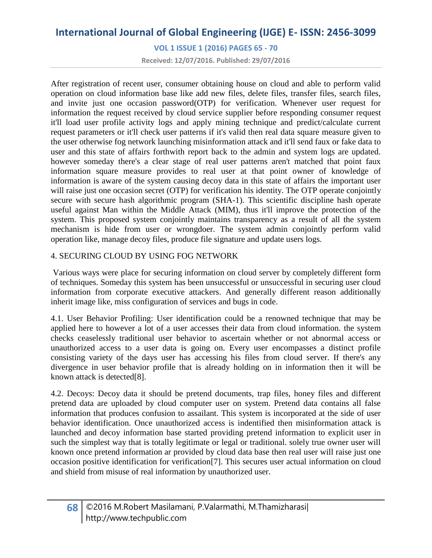**VOL 1 ISSUE 1 (2016) PAGES 65 - 70**

**Received: 12/07/2016. Published: 29/07/2016**

After registration of recent user, consumer obtaining house on cloud and able to perform valid operation on cloud information base like add new files, delete files, transfer files, search files, and invite just one occasion password(OTP) for verification. Whenever user request for information the request received by cloud service supplier before responding consumer request it'll load user profile activity logs and apply mining technique and predict/calculate current request parameters or it'll check user patterns if it's valid then real data square measure given to the user otherwise fog network launching misinformation attack and it'll send faux or fake data to user and this state of affairs forthwith report back to the admin and system logs are updated. however someday there's a clear stage of real user patterns aren't matched that point faux information square measure provides to real user at that point owner of knowledge of information is aware of the system causing decoy data in this state of affairs the important user will raise just one occasion secret (OTP) for verification his identity. The OTP operate conjointly secure with secure hash algorithmic program (SHA-1). This scientific discipline hash operate useful against Man within the Middle Attack (MIM), thus it'll improve the protection of the system. This proposed system conjointly maintains transparency as a result of all the system mechanism is hide from user or wrongdoer. The system admin conjointly perform valid operation like, manage decoy files, produce file signature and update users logs.

### 4. SECURING CLOUD BY USING FOG NETWORK

Various ways were place for securing information on cloud server by completely different form of techniques. Someday this system has been unsuccessful or unsuccessful in securing user cloud information from corporate executive attackers. And generally different reason additionally inherit image like, miss configuration of services and bugs in code.

4.1. User Behavior Profiling: User identification could be a renowned technique that may be applied here to however a lot of a user accesses their data from cloud information. the system checks ceaselessly traditional user behavior to ascertain whether or not abnormal access or unauthorized access to a user data is going on. Every user encompasses a distinct profile consisting variety of the days user has accessing his files from cloud server. If there's any divergence in user behavior profile that is already holding on in information then it will be known attack is detected[8].

4.2. Decoys: Decoy data it should be pretend documents, trap files, honey files and different pretend data are uploaded by cloud computer user on system. Pretend data contains all false information that produces confusion to assailant. This system is incorporated at the side of user behavior identification. Once unauthorized access is indentified then misinformation attack is launched and decoy information base started providing pretend information to explicit user in such the simplest way that is totally legitimate or legal or traditional. solely true owner user will known once pretend information ar provided by cloud data base then real user will raise just one occasion positive identification for verification[7]. This secures user actual information on cloud and shield from misuse of real information by unauthorized user.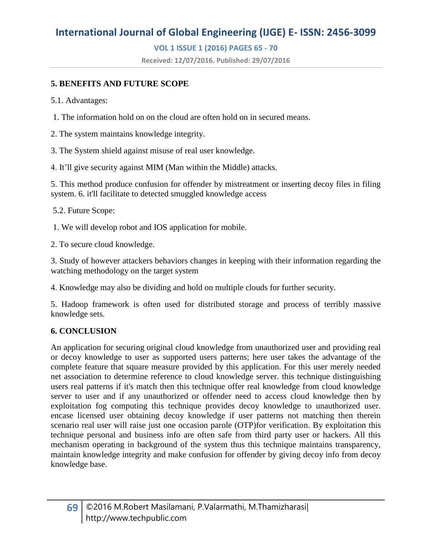### **VOL 1 ISSUE 1 (2016) PAGES 65 - 70**

**Received: 12/07/2016. Published: 29/07/2016**

### **5. BENEFITS AND FUTURE SCOPE**

5.1. Advantages:

1. The information hold on on the cloud are often hold on in secured means.

2. The system maintains knowledge integrity.

3. The System shield against misuse of real user knowledge.

4. It'll give security against MIM (Man within the Middle) attacks.

5. This method produce confusion for offender by mistreatment or inserting decoy files in filing system. 6. it'll facilitate to detected smuggled knowledge access

5.2. Future Scope:

1. We will develop robot and IOS application for mobile.

2. To secure cloud knowledge.

3. Study of however attackers behaviors changes in keeping with their information regarding the watching methodology on the target system

4. Knowledge may also be dividing and hold on multiple clouds for further security.

5. Hadoop framework is often used for distributed storage and process of terribly massive knowledge sets.

### **6. CONCLUSION**

An application for securing original cloud knowledge from unauthorized user and providing real or decoy knowledge to user as supported users patterns; here user takes the advantage of the complete feature that square measure provided by this application. For this user merely needed net association to determine reference to cloud knowledge server. this technique distinguishing users real patterns if it's match then this technique offer real knowledge from cloud knowledge server to user and if any unauthorized or offender need to access cloud knowledge then by exploitation fog computing this technique provides decoy knowledge to unauthorized user. encase licensed user obtaining decoy knowledge if user patterns not matching then therein scenario real user will raise just one occasion parole (OTP)for verification. By exploitation this technique personal and business info are often safe from third party user or hackers. All this mechanism operating in background of the system thus this technique maintains transparency, maintain knowledge integrity and make confusion for offender by giving decoy info from decoy knowledge base.